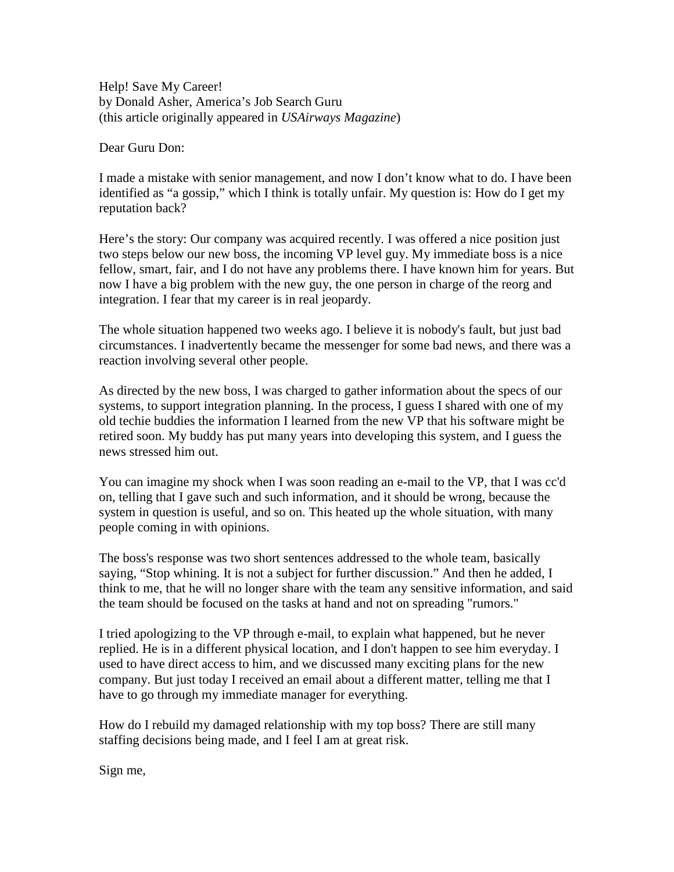Help! Save My Career! by Donald Asher, America's Job Search Guru (this article originally appeared in *USAirways Magazine*)

Dear Guru Don:

I made a mistake with senior management, and now I don't know what to do. I have been identified as "a gossip," which I think is totally unfair. My question is: How do I get my reputation back?

Here's the story: Our company was acquired recently. I was offered a nice position just two steps below our new boss, the incoming VP level guy. My immediate boss is a nice fellow, smart, fair, and I do not have any problems there. I have known him for years. But now I have a big problem with the new guy, the one person in charge of the reorg and integration. I fear that my career is in real jeopardy.

The whole situation happened two weeks ago. I believe it is nobody's fault, but just bad circumstances. I inadvertently became the messenger for some bad news, and there was a reaction involving several other people.

As directed by the new boss, I was charged to gather information about the specs of our systems, to support integration planning. In the process, I guess I shared with one of my old techie buddies the information I learned from the new VP that his software might be retired soon. My buddy has put many years into developing this system, and I guess the news stressed him out.

You can imagine my shock when I was soon reading an e-mail to the VP, that I was cc'd on, telling that I gave such and such information, and it should be wrong, because the system in question is useful, and so on. This heated up the whole situation, with many people coming in with opinions.

The boss's response was two short sentences addressed to the whole team, basically saying, "Stop whining. It is not a subject for further discussion." And then he added, I think to me, that he will no longer share with the team any sensitive information, and said the team should be focused on the tasks at hand and not on spreading "rumors."

I tried apologizing to the VP through e-mail, to explain what happened, but he never replied. He is in a different physical location, and I don't happen to see him everyday. I used to have direct access to him, and we discussed many exciting plans for the new company. But just today I received an email about a different matter, telling me that I have to go through my immediate manager for everything.

How do I rebuild my damaged relationship with my top boss? There are still many staffing decisions being made, and I feel I am at great risk.

Sign me,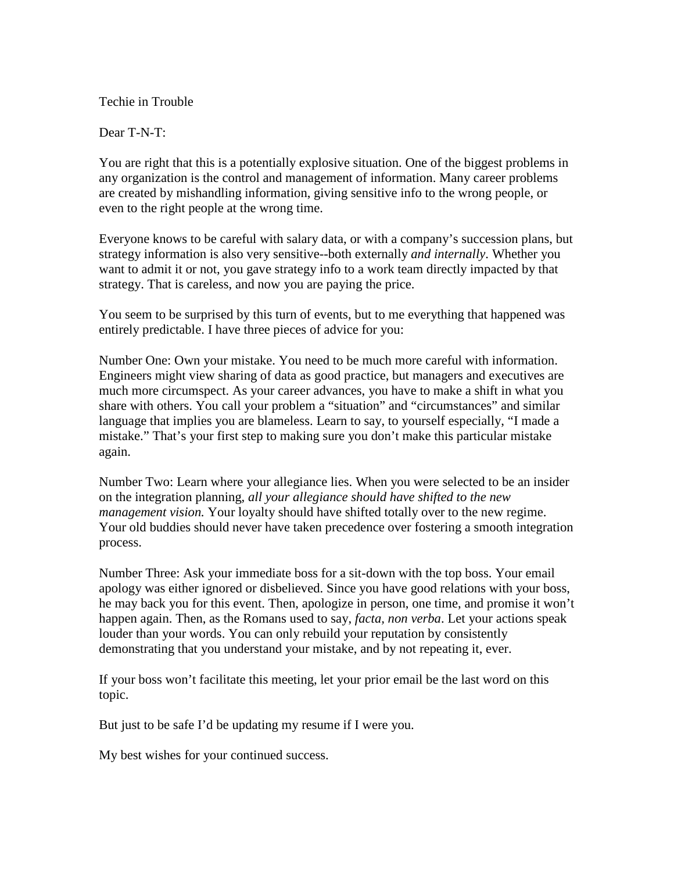Techie in Trouble

Dear T-N-T:

You are right that this is a potentially explosive situation. One of the biggest problems in any organization is the control and management of information. Many career problems are created by mishandling information, giving sensitive info to the wrong people, or even to the right people at the wrong time.

Everyone knows to be careful with salary data, or with a company's succession plans, but strategy information is also very sensitive--both externally *and internally*. Whether you want to admit it or not, you gave strategy info to a work team directly impacted by that strategy. That is careless, and now you are paying the price.

You seem to be surprised by this turn of events, but to me everything that happened was entirely predictable. I have three pieces of advice for you:

Number One: Own your mistake. You need to be much more careful with information. Engineers might view sharing of data as good practice, but managers and executives are much more circumspect. As your career advances, you have to make a shift in what you share with others. You call your problem a "situation" and "circumstances" and similar language that implies you are blameless. Learn to say, to yourself especially, "I made a mistake." That's your first step to making sure you don't make this particular mistake again.

Number Two: Learn where your allegiance lies. When you were selected to be an insider on the integration planning, *all your allegiance should have shifted to the new management vision.* Your loyalty should have shifted totally over to the new regime. Your old buddies should never have taken precedence over fostering a smooth integration process.

Number Three: Ask your immediate boss for a sit-down with the top boss. Your email apology was either ignored or disbelieved. Since you have good relations with your boss, he may back you for this event. Then, apologize in person, one time, and promise it won't happen again. Then, as the Romans used to say, *facta, non verba*. Let your actions speak louder than your words. You can only rebuild your reputation by consistently demonstrating that you understand your mistake, and by not repeating it, ever.

If your boss won't facilitate this meeting, let your prior email be the last word on this topic.

But just to be safe I'd be updating my resume if I were you.

My best wishes for your continued success.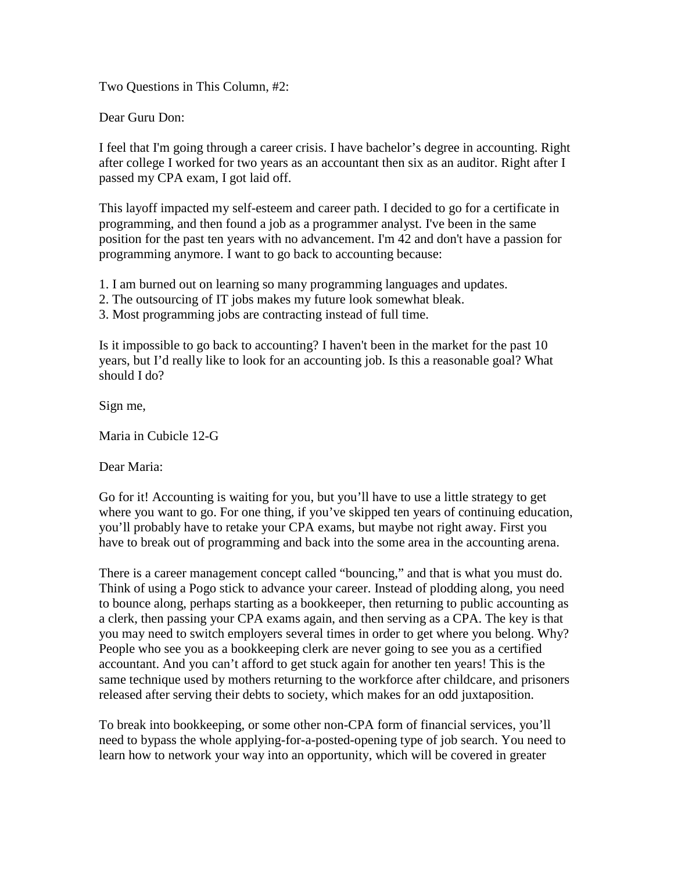Two Questions in This Column, #2:

Dear Guru Don:

I feel that I'm going through a career crisis. I have bachelor's degree in accounting. Right after college I worked for two years as an accountant then six as an auditor. Right after I passed my CPA exam, I got laid off.

This layoff impacted my self-esteem and career path. I decided to go for a certificate in programming, and then found a job as a programmer analyst. I've been in the same position for the past ten years with no advancement. I'm 42 and don't have a passion for programming anymore. I want to go back to accounting because:

1. I am burned out on learning so many programming languages and updates.

- 2. The outsourcing of IT jobs makes my future look somewhat bleak.
- 3. Most programming jobs are contracting instead of full time.

Is it impossible to go back to accounting? I haven't been in the market for the past 10 years, but I'd really like to look for an accounting job. Is this a reasonable goal? What should I do?

Sign me,

Maria in Cubicle 12-G

Dear Maria:

Go for it! Accounting is waiting for you, but you'll have to use a little strategy to get where you want to go. For one thing, if you've skipped ten years of continuing education, you'll probably have to retake your CPA exams, but maybe not right away. First you have to break out of programming and back into the some area in the accounting arena.

There is a career management concept called "bouncing," and that is what you must do. Think of using a Pogo stick to advance your career. Instead of plodding along, you need to bounce along, perhaps starting as a bookkeeper, then returning to public accounting as a clerk, then passing your CPA exams again, and then serving as a CPA. The key is that you may need to switch employers several times in order to get where you belong. Why? People who see you as a bookkeeping clerk are never going to see you as a certified accountant. And you can't afford to get stuck again for another ten years! This is the same technique used by mothers returning to the workforce after childcare, and prisoners released after serving their debts to society, which makes for an odd juxtaposition.

To break into bookkeeping, or some other non-CPA form of financial services, you'll need to bypass the whole applying-for-a-posted-opening type of job search. You need to learn how to network your way into an opportunity, which will be covered in greater